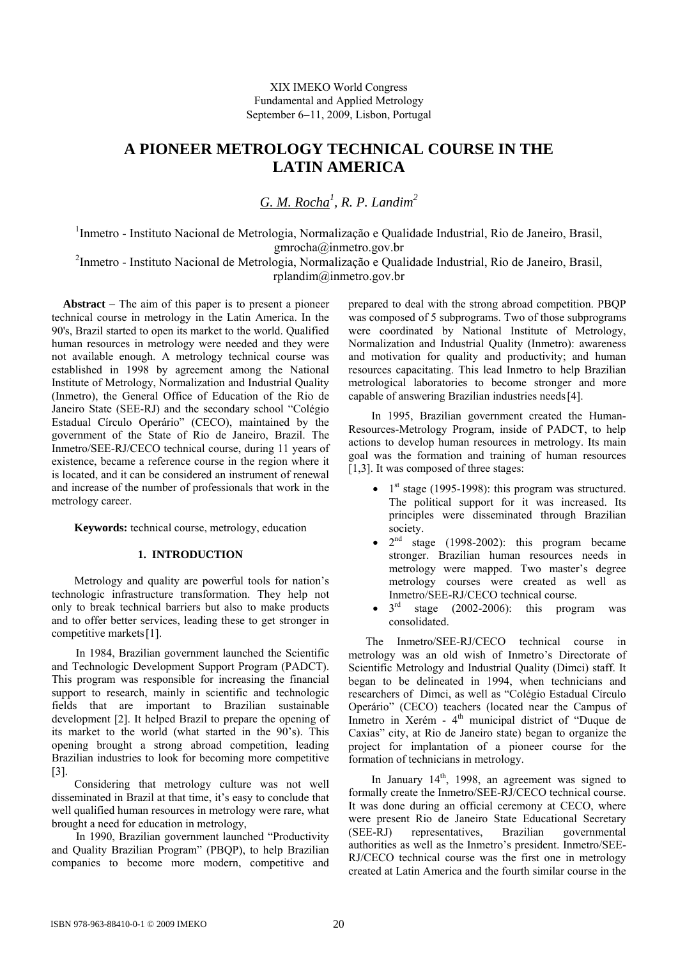XIX IMEKO World Congress Fundamental and Applied Metrology September 6−11, 2009, Lisbon, Portugal

# **A PIONEER METROLOGY TECHNICAL COURSE IN THE LATIN AMERICA**

*G. M. Rocha1 , R. P. Landim2*

<sup>1</sup>Inmetro - Instituto Nacional de Metrologia, Normalização e Qualidade Industrial, Rio de Janeiro, Brasil, gmrocha@inmetro.gov.br

<sup>2</sup>Inmetro - Instituto Nacional de Metrologia, Normalização e Qualidade Industrial, Rio de Janeiro, Brasil, rplandim@inmetro.gov.br

 **Abstract** – The aim of this paper is to present a pioneer technical course in metrology in the Latin America. In the 90's, Brazil started to open its market to the world. Qualified human resources in metrology were needed and they were not available enough. A metrology technical course was established in 1998 by agreement among the National Institute of Metrology, Normalization and Industrial Quality (Inmetro), the General Office of Education of the Rio de Janeiro State (SEE-RJ) and the secondary school "Colégio Estadual Círculo Operário" (CECO), maintained by the government of the State of Rio de Janeiro, Brazil. The Inmetro/SEE-RJ/CECO technical course, during 11 years of existence, became a reference course in the region where it is located, and it can be considered an instrument of renewal and increase of the number of professionals that work in the metrology career.

**Keywords:** technical course, metrology, education

### **1. INTRODUCTION**

Metrology and quality are powerful tools for nation's technologic infrastructure transformation. They help not only to break technical barriers but also to make products and to offer better services, leading these to get stronger in competitive markets[1].

In 1984, Brazilian government launched the Scientific and Technologic Development Support Program (PADCT). This program was responsible for increasing the financial support to research, mainly in scientific and technologic fields that are important to Brazilian sustainable development [2]. It helped Brazil to prepare the opening of its market to the world (what started in the 90's). This opening brought a strong abroad competition, leading Brazilian industries to look for becoming more competitive [3].

Considering that metrology culture was not well disseminated in Brazil at that time, it's easy to conclude that well qualified human resources in metrology were rare, what brought a need for education in metrology,

In 1990, Brazilian government launched "Productivity and Quality Brazilian Program" (PBQP), to help Brazilian companies to become more modern, competitive and prepared to deal with the strong abroad competition. PBQP was composed of 5 subprograms. Two of those subprograms were coordinated by National Institute of Metrology, Normalization and Industrial Quality (Inmetro): awareness and motivation for quality and productivity; and human resources capacitating. This lead Inmetro to help Brazilian metrological laboratories to become stronger and more capable of answering Brazilian industries needs[4].

In 1995, Brazilian government created the Human-Resources-Metrology Program, inside of PADCT, to help actions to develop human resources in metrology. Its main goal was the formation and training of human resources [1,3]. It was composed of three stages:

- $1<sup>st</sup> stage (1995-1998)$ : this program was structured. The political support for it was increased. Its principles were disseminated through Brazilian society.
- $2<sup>nd</sup>$  stage (1998-2002): this program became stronger. Brazilian human resources needs in metrology were mapped. Two master's degree metrology courses were created as well as Inmetro/SEE-RJ/CECO technical course.
- $3<sup>rd</sup>$  stage (2002-2006): this program was consolidated.

The Inmetro/SEE-RJ/CECO technical course in metrology was an old wish of Inmetro's Directorate of Scientific Metrology and Industrial Quality (Dimci) staff. It began to be delineated in 1994, when technicians and researchers of Dimci, as well as "Colégio Estadual Círculo Operário" (CECO) teachers (located near the Campus of Inmetro in Xerém - 4<sup>th</sup> municipal district of "Duque de Caxias" city, at Rio de Janeiro state) began to organize the project for implantation of a pioneer course for the formation of technicians in metrology.

In January  $14<sup>th</sup>$ , 1998, an agreement was signed to formally create the Inmetro/SEE-RJ/CECO technical course. It was done during an official ceremony at CECO, where were present Rio de Janeiro State Educational Secretary (SEE-RJ) representatives, Brazilian governmental authorities as well as the Inmetro's president. Inmetro/SEE-RJ/CECO technical course was the first one in metrology created at Latin America and the fourth similar course in the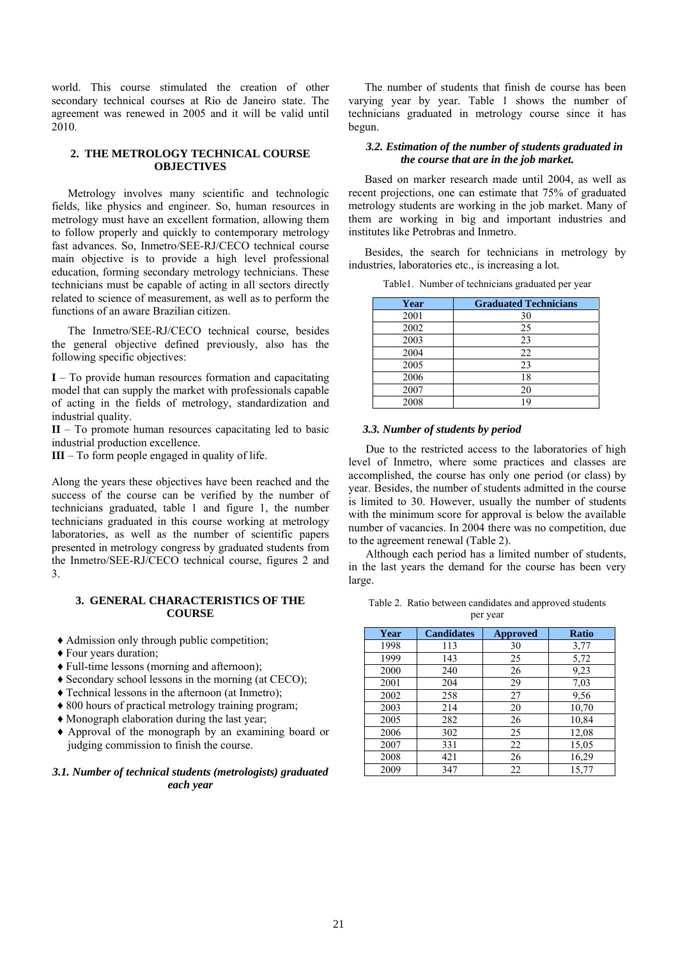world. This course stimulated the creation of other secondary technical courses at Rio de Janeiro state. The agreement was renewed in 2005 and it will be valid until 2010.

### **2. THE METROLOGY TECHNICAL COURSE OBJECTIVES**

Metrology involves many scientific and technologic fields, like physics and engineer. So, human resources in metrology must have an excellent formation, allowing them to follow properly and quickly to contemporary metrology fast advances. So, Inmetro/SEE-RJ/CECO technical course main objective is to provide a high level professional education, forming secondary metrology technicians. These technicians must be capable of acting in all sectors directly related to science of measurement, as well as to perform the functions of an aware Brazilian citizen.

The Inmetro/SEE-RJ/CECO technical course, besides the general objective defined previously, also has the following specific objectives:

**I** – To provide human resources formation and capacitating model that can supply the market with professionals capable of acting in the fields of metrology, standardization and industrial quality.

**II** – To promote human resources capacitating led to basic industrial production excellence.

**III** – To form people engaged in quality of life.

Along the years these objectives have been reached and the success of the course can be verified by the number of technicians graduated, table 1 and figure 1, the number technicians graduated in this course working at metrology laboratories, as well as the number of scientific papers presented in metrology congress by graduated students from the Inmetro/SEE-RJ/CECO technical course, figures 2 and 3.

#### **3. GENERAL CHARACTERISTICS OF THE COURSE**

- ♦ Admission only through public competition;
- ♦ Four years duration;
- ♦ Full-time lessons (morning and afternoon);
- ♦ Secondary school lessons in the morning (at CECO);
- ♦ Technical lessons in the afternoon (at Inmetro);
- ♦ 800 hours of practical metrology training program;
- ♦ Monograph elaboration during the last year;
- ♦ Approval of the monograph by an examining board or judging commission to finish the course.

## *3.1. Number of technical students (metrologists) graduated each year*

The number of students that finish de course has been varying year by year. Table 1 shows the number of technicians graduated in metrology course since it has begun.

## *3.2. Estimation of the number of students graduated in the course that are in the job market.*

Based on marker research made until 2004, as well as recent projections, one can estimate that 75% of graduated metrology students are working in the job market. Many of them are working in big and important industries and institutes like Petrobras and Inmetro.

Besides, the search for technicians in metrology by industries, laboratories etc., is increasing a lot.

| Year | <b>Graduated Technicians</b> |
|------|------------------------------|
| 2001 | 30                           |
| 2002 | 25                           |
| 2003 | 23                           |
| 2004 | 22                           |
| 2005 | 23                           |
| 2006 | 18                           |
| 2007 | 20                           |
| 2008 | 19                           |

Table1. Number of technicians graduated per year

## *3.3. Number of students by period*

Due to the restricted access to the laboratories of high level of Inmetro, where some practices and classes are accomplished, the course has only one period (or class) by year. Besides, the number of students admitted in the course is limited to 30. However, usually the number of students with the minimum score for approval is below the available number of vacancies. In 2004 there was no competition, due to the agreement renewal (Table 2).

Although each period has a limited number of students, in the last years the demand for the course has been very large.

| Table 2. Ratio between candidates and approved students |
|---------------------------------------------------------|
| per year                                                |

| Year | <b>Candidates</b> | <b>Approved</b> | <b>Ratio</b> |
|------|-------------------|-----------------|--------------|
| 1998 | 113               | 30              | 3,77         |
| 1999 | 143               | 25              | 5,72         |
| 2000 | 240               | 26              | 9,23         |
| 2001 | 204               | 29              | 7,03         |
| 2002 | 258               | 27              | 9,56         |
| 2003 | 214               | 20              | 10,70        |
| 2005 | 282               | 26              | 10,84        |
| 2006 | 302               | 25              | 12,08        |
| 2007 | 331               | 22              | 15,05        |
| 2008 | 421               | 26              | 16,29        |
| 2009 | 347               | 22              | 15,77        |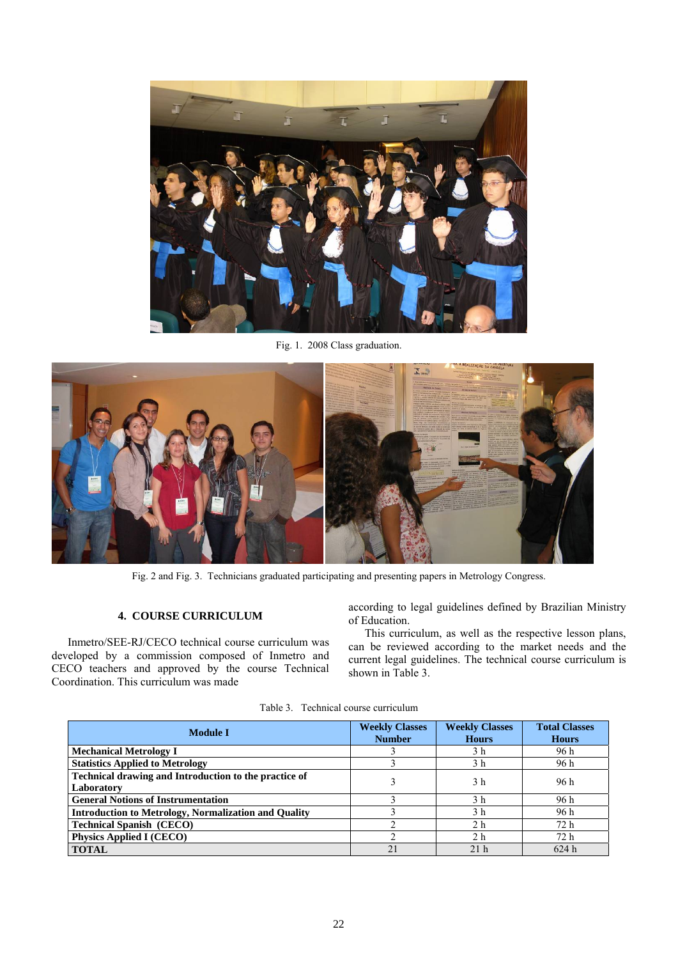

Fig. 1. 2008 Class graduation.



Fig. 2 and Fig. 3. Technicians graduated participating and presenting papers in Metrology Congress.

## **4. COURSE CURRICULUM**

Inmetro/SEE-RJ/CECO technical course curriculum was developed by a commission composed of Inmetro and CECO teachers and approved by the course Technical Coordination. This curriculum was made

according to legal guidelines defined by Brazilian Ministry of Education.

This curriculum, as well as the respective lesson plans, can be reviewed according to the market needs and the current legal guidelines. The technical course curriculum is shown in Table 3.

| <b>Module I</b>                                             | <b>Weekly Classes</b><br><b>Number</b> | <b>Weekly Classes</b><br><b>Hours</b> | <b>Total Classes</b><br><b>Hours</b> |
|-------------------------------------------------------------|----------------------------------------|---------------------------------------|--------------------------------------|
|                                                             |                                        |                                       |                                      |
| <b>Mechanical Metrology I</b>                               |                                        | 3 h                                   | 96 h                                 |
| <b>Statistics Applied to Metrology</b>                      |                                        | 3 h                                   | 96 h                                 |
| Technical drawing and Introduction to the practice of       |                                        | 3 <sub>h</sub>                        | 96 h                                 |
| Laboratory                                                  |                                        |                                       |                                      |
| <b>General Notions of Instrumentation</b>                   |                                        | 3 <sub>h</sub>                        | 96 h                                 |
| <b>Introduction to Metrology, Normalization and Quality</b> |                                        | 3 h                                   | 96 h                                 |
| <b>Technical Spanish (CECO)</b>                             |                                        | 2 <sub>h</sub>                        | 72 h                                 |
| <b>Physics Applied I (CECO)</b>                             |                                        | 2 <sub>h</sub>                        | 72h                                  |
| <b>TOTAL</b>                                                | 21                                     | 21 <sub>h</sub>                       | 624h                                 |

Table 3. Technical course curriculum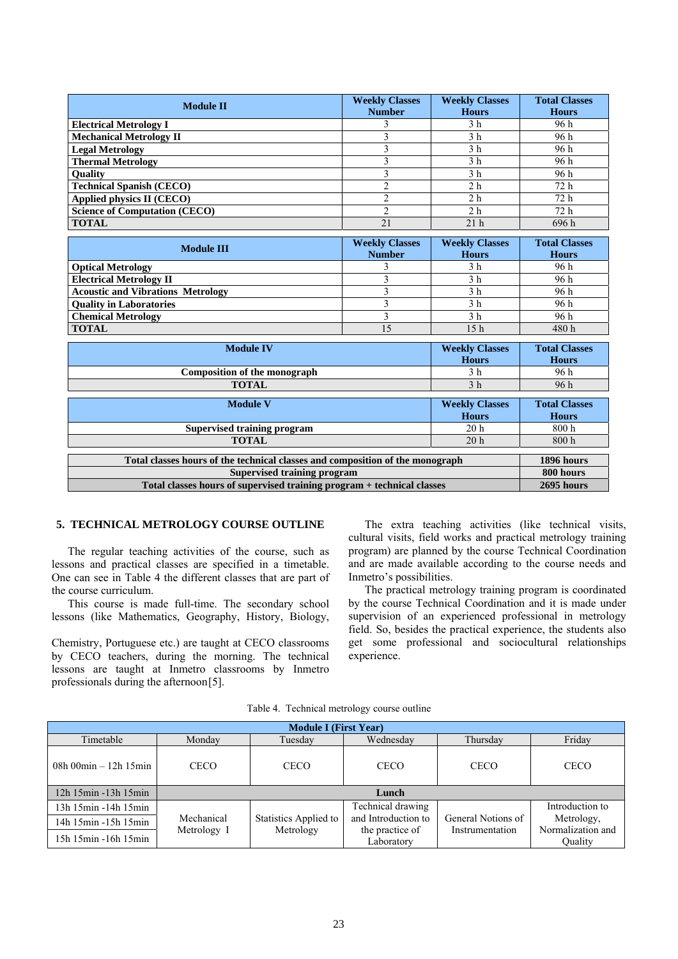| <b>Module II</b>                                                              | <b>Weekly Classes</b>                 | <b>Weekly Classes</b> | <b>Total Classes</b> |  |
|-------------------------------------------------------------------------------|---------------------------------------|-----------------------|----------------------|--|
|                                                                               | <b>Number</b>                         | <b>Hours</b>          | <b>Hours</b>         |  |
| <b>Electrical Metrology I</b>                                                 | 3                                     | 3 <sub>h</sub>        | 96 h                 |  |
| <b>Mechanical Metrology II</b>                                                | 3                                     | 3 <sub>h</sub>        | 96h                  |  |
| <b>Legal Metrology</b>                                                        | $\overline{3}$                        | 3 <sub>h</sub>        | 96 h                 |  |
| <b>Thermal Metrology</b>                                                      | 3                                     | 3 <sub>h</sub>        | 96 h                 |  |
| <b>Ouality</b>                                                                | $\overline{\mathbf{3}}$               | 3 <sub>h</sub>        | 96 h                 |  |
| <b>Technical Spanish (CECO)</b>                                               | $\overline{2}$                        | 2 <sub>h</sub>        | 72 h                 |  |
| Applied physics II (CECO)                                                     | $\overline{2}$                        | 2 <sub>h</sub>        | 72 h                 |  |
| <b>Science of Computation (CECO)</b>                                          | $\overline{2}$                        | 2 <sub>h</sub>        | 72h                  |  |
| <b>TOTAL</b>                                                                  | 21                                    | 21 <sub>h</sub>       | 696h                 |  |
|                                                                               |                                       |                       |                      |  |
| <b>Module III</b>                                                             | <b>Weekly Classes</b>                 | <b>Weekly Classes</b> | <b>Total Classes</b> |  |
|                                                                               | <b>Number</b>                         | <b>Hours</b>          | <b>Hours</b>         |  |
| <b>Optical Metrology</b>                                                      | 3                                     | 3 <sub>h</sub>        | 96 h                 |  |
| <b>Electrical Metrology II</b>                                                | $\overline{3}$                        | 3 <sub>h</sub>        | 96 h                 |  |
| <b>Acoustic and Vibrations Metrology</b>                                      | $\overline{3}$                        | 3 <sub>h</sub>        | 96 h                 |  |
| <b>Quality in Laboratories</b>                                                | 3                                     | 3 <sub>h</sub>        | 96h                  |  |
| <b>Chemical Metrology</b>                                                     | 3                                     | 3 <sub>h</sub>        | 96h                  |  |
| <b>TOTAL</b>                                                                  | 15                                    | 15 <sub>h</sub>       | 480h                 |  |
|                                                                               |                                       |                       |                      |  |
| <b>Module IV</b>                                                              |                                       | <b>Weekly Classes</b> | <b>Total Classes</b> |  |
|                                                                               |                                       | <b>Hours</b>          | <b>Hours</b>         |  |
| Composition of the monograph<br>3 <sub>h</sub><br>3 <sub>h</sub>              |                                       |                       | 96h                  |  |
| <b>TOTAL</b>                                                                  | 96h                                   |                       |                      |  |
| <b>Module V</b>                                                               | <b>Total Classes</b>                  |                       |                      |  |
|                                                                               | <b>Weekly Classes</b><br><b>Hours</b> | <b>Hours</b>          |                      |  |
| <b>Supervised training program</b>                                            | 20 <sub>h</sub>                       | 800h                  |                      |  |
| <b>TOTAL</b>                                                                  | 20 <sub>h</sub>                       | 800h                  |                      |  |
|                                                                               |                                       |                       |                      |  |
| Total classes hours of the technical classes and composition of the monograph | 1896 hours                            |                       |                      |  |
| <b>Supervised training program</b>                                            | 800 hours                             |                       |                      |  |
| Total classes hours of supervised training program + technical classes        | 2695 hours                            |                       |                      |  |

## **5. TECHNICAL METROLOGY COURSE OUTLINE**

The regular teaching activities of the course, such as lessons and practical classes are specified in a timetable. One can see in Table 4 the different classes that are part of the course curriculum.

This course is made full-time. The secondary school lessons (like Mathematics, Geography, History, Biology,

Chemistry, Portuguese etc.) are taught at CECO classrooms by CECO teachers, during the morning. The technical lessons are taught at Inmetro classrooms by Inmetro professionals during the afternoon[5].

The extra teaching activities (like technical visits, cultural visits, field works and practical metrology training program) are planned by the course Technical Coordination and are made available according to the course needs and Inmetro's possibilities.

The practical metrology training program is coordinated by the course Technical Coordination and it is made under supervision of an experienced professional in metrology field. So, besides the practical experience, the students also get some professional and sociocultural relationships experience.

| <b>Module I (First Year)</b>                  |             |                       |                               |                    |                              |
|-----------------------------------------------|-------------|-----------------------|-------------------------------|--------------------|------------------------------|
| Timetable                                     | Monday      | Tuesday               | Wednesday                     | Thursday           | Friday                       |
| 08h 00 $\text{min} - 12\text{h} 15\text{min}$ | <b>CECO</b> | <b>CECO</b>           | <b>CECO</b>                   | <b>CECO</b>        | <b>CECO</b>                  |
| 12h 15min -13h 15min                          | Lunch       |                       |                               |                    |                              |
| 13h 15min -14h 15min                          |             |                       | Technical drawing             |                    | Introduction to              |
| 14h 15min -15h 15min                          | Mechanical  | Statistics Applied to | and Introduction to           | General Notions of | Metrology,                   |
| 15h 15min -16h 15min                          | Metrology I | Metrology             | the practice of<br>Laboratory | Instrumentation    | Normalization and<br>Ouality |

Table 4. Technical metrology course outline